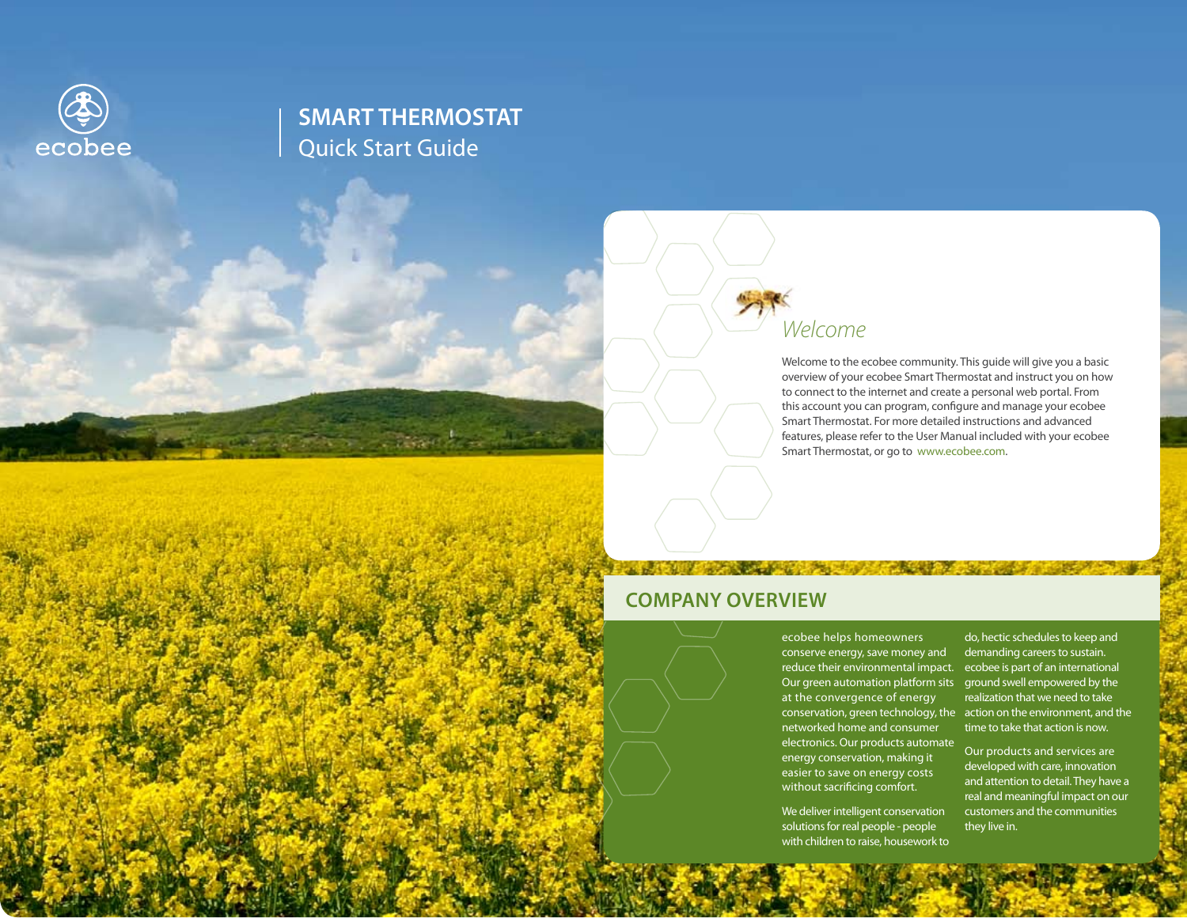

## **SMART THERMOSTAT**  Quick Start Guide



Welcome to the ecobee community. This guide will give you a basic overview of your ecobee Smart Thermostat and instruct you on how to connect to the internet and create a personal web portal. From this account you can program, configure and manage your ecobee Smart Thermostat. For more detailed instructions and advanced features, please refer to the User Manual included with your ecobee Smart Thermostat, or go to www.ecobee.com.

### **Company Overview**

ecobee helps homeowners conserve energy, save money and reduce their environmental impact. ecobee is part of an international Our green automation platform sits ground swell empowered by the at the convergence of energy conservation, green technology, the action on the environment, and the networked home and consumer electronics. Our products automate energy conservation, making it easier to save on energy costs without sacrificing comfort.

We deliver intelligent conservation solutions for real people - people with children to raise, housework to

do, hectic schedules to keep and demanding careers to sustain. realization that we need to take time to take that action is now.

Our products and services are developed with care, innovation and attention to detail. They have a real and meaningful impact on our customers and the communities they live in.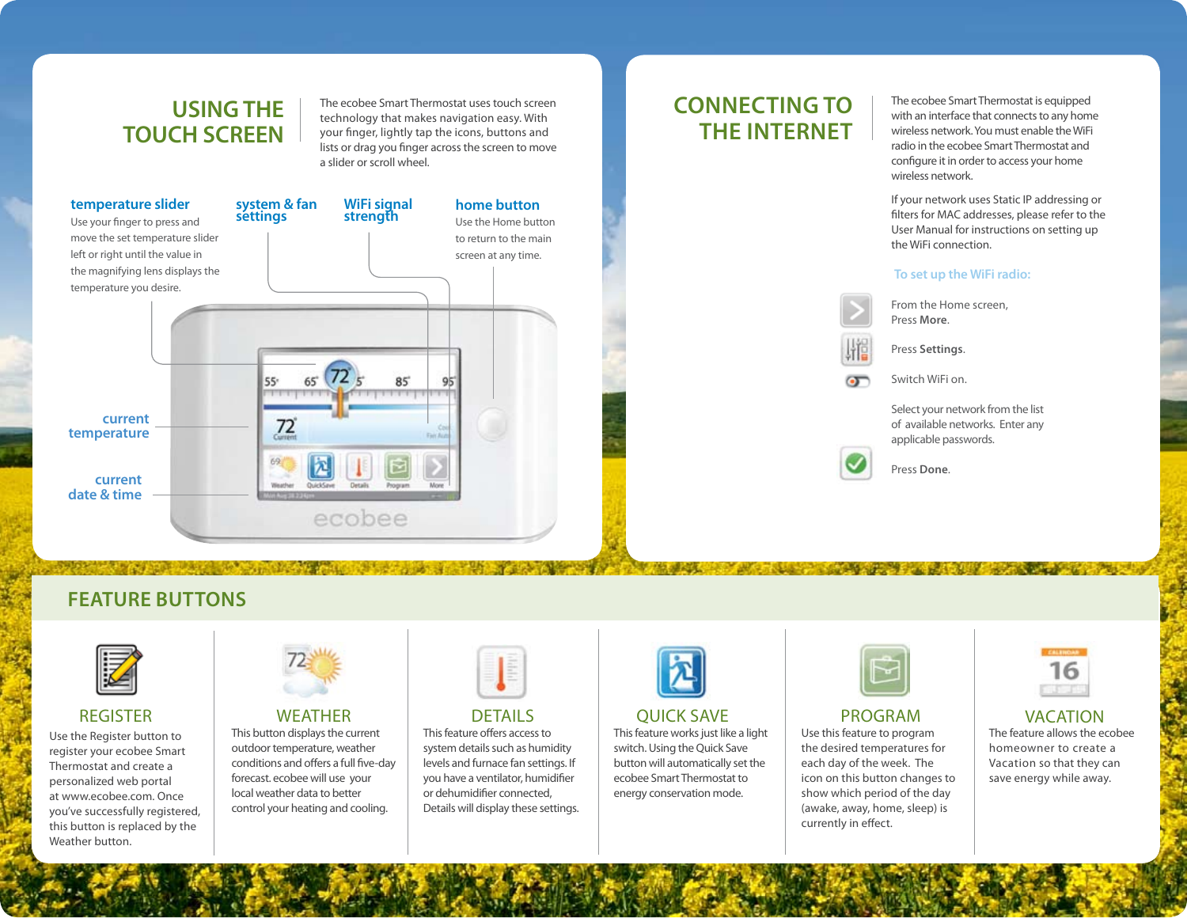## **USING THE TOUCH SCREEN**

The ecobee Smart Thermostat uses touch screen technology that makes navigation easy. With your finger, lightly tap the icons, buttons and lists or drag you finger across the screen to move a slider or scroll wheel.



## **Connecting to the Internet**

The ecobee Smart Thermostat is equipped with an interface that connects to any home wireless network. You must enable the WiFi radio in the ecobee Smart Thermostat and configure it in order to access your home wireless network.

If your network uses Static IP addressing or filters for MAC addresses, please refer to the User Manual for instructions on setting up the WiFi connection.

#### **To set up the WiFi radio:**



 $\sigma$ 

From the Home screen, Press **More**.

Press **Settings**.

Switch WiFi on.

Select your network from the list of available networks. Enter any applicable passwords.

**A CONSTRUCTION OF A CONSTRUCTION OF A CONSTRUCTION OF A CONSTRUCTION OF A CONSTRUCTION OF A CONSTRUCTION** 



Press **Done**.

**Feature Buttons**



#### **REGISTER**

Use the Register button to register your ecobee Smart Thermostat and create a personalized web portal at www.ecobee.com. Once you've successfully registered, this button is replaced by the Weather button.



#### **WEATHER**

This button displays the current outdoor temperature, weather conditions and offers a full five-day forecast. ecobee will use your local weather data to better control your heating and cooling.



#### **DETAILS**

This feature offers access to system details such as humidity levels and furnace fan settings. If you have a ventilator, humidifier or dehumidifier connected, Details will display these settings.



#### Quick Save

This feature works just like a light switch. Using the Quick Save button will automatically set the ecobee Smart Thermostat to energy conservation mode.



#### Program

Use this feature to program the desired temperatures for each day of the week. The icon on this button changes to show which period of the day (awake, away, home, sleep) is currently in effect.



#### **VACATION**

The feature allows the ecobee homeowner to create a Vacation so that they can save energy while away.